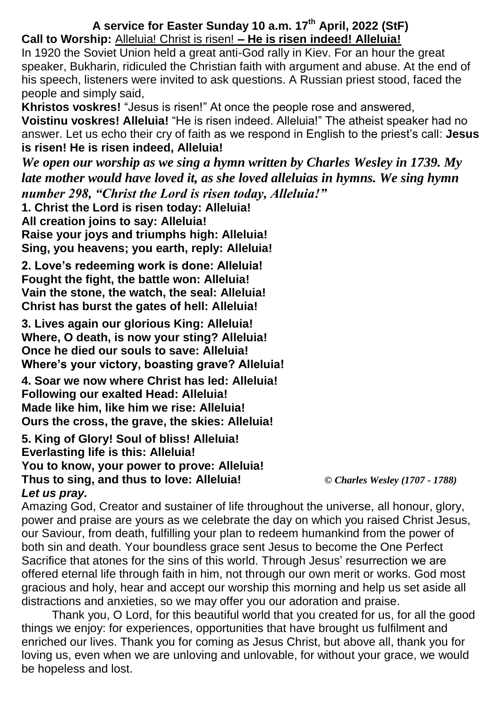# **A service for Easter Sunday 10 a.m. 17th April, 2022 (StF) Call to Worship:** Alleluia! Christ is risen! **– He is risen indeed! Alleluia!**

In 1920 the Soviet Union held a great anti-God rally in Kiev. For an hour the great speaker, Bukharin, ridiculed the Christian faith with argument and abuse. At the end of his speech, listeners were invited to ask questions. A Russian priest stood, faced the people and simply said,

**Khristos voskres!** "Jesus is risen!" At once the people rose and answered,

**Voistinu voskres! Alleluia!** "He is risen indeed. Alleluia!" The atheist speaker had no answer. Let us echo their cry of faith as we respond in English to the priest's call: **Jesus is risen! He is risen indeed, Alleluia!**

*We open our worship as we sing a hymn written by Charles Wesley in 1739. My late mother would have loved it, as she loved alleluias in hymns. We sing hymn number 298, "Christ the Lord is risen today, Alleluia!"*

**1. Christ the Lord is risen today: Alleluia! All creation joins to say: Alleluia! Raise your joys and triumphs high: Alleluia! Sing, you heavens; you earth, reply: Alleluia!**

**2. Love's redeeming work is done: Alleluia! Fought the fight, the battle won: Alleluia! Vain the stone, the watch, the seal: Alleluia! Christ has burst the gates of hell: Alleluia!**

**3. Lives again our glorious King: Alleluia! Where, O death, is now your sting? Alleluia! Once he died our souls to save: Alleluia! Where's your victory, boasting grave? Alleluia!**

**4. Soar we now where Christ has led: Alleluia! Following our exalted Head: Alleluia! Made like him, like him we rise: Alleluia! Ours the cross, the grave, the skies: Alleluia!**

**5. King of Glory! Soul of bliss! Alleluia! Everlasting life is this: Alleluia! You to know, your power to prove: Alleluia! Thus to sing, and thus to love: Alleluia!** *© Charles Wesley (1707 - 1788) Let us pray.*

Amazing God, Creator and sustainer of life throughout the universe, all honour, glory, power and praise are yours as we celebrate the day on which you raised Christ Jesus, our Saviour, from death, fulfilling your plan to redeem humankind from the power of both sin and death. Your boundless grace sent Jesus to become the One Perfect Sacrifice that atones for the sins of this world. Through Jesus' resurrection we are offered eternal life through faith in him, not through our own merit or works. God most gracious and holy, hear and accept our worship this morning and help us set aside all distractions and anxieties, so we may offer you our adoration and praise.

Thank you, O Lord, for this beautiful world that you created for us, for all the good things we enjoy: for experiences, opportunities that have brought us fulfilment and enriched our lives. Thank you for coming as Jesus Christ, but above all, thank you for loving us, even when we are unloving and unlovable, for without your grace, we would be hopeless and lost.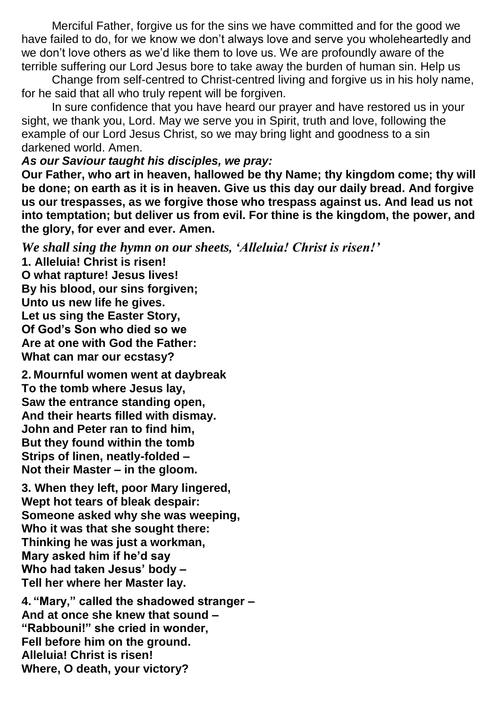Merciful Father, forgive us for the sins we have committed and for the good we have failed to do, for we know we don't always love and serve you wholeheartedly and we don't love others as we'd like them to love us. We are profoundly aware of the terrible suffering our Lord Jesus bore to take away the burden of human sin. Help us

Change from self-centred to Christ-centred living and forgive us in his holy name, for he said that all who truly repent will be forgiven.

In sure confidence that you have heard our prayer and have restored us in your sight, we thank you, Lord. May we serve you in Spirit, truth and love, following the example of our Lord Jesus Christ, so we may bring light and goodness to a sin darkened world. Amen.

*As our Saviour taught his disciples, we pray:*

**Our Father, who art in heaven, hallowed be thy Name; thy kingdom come; thy will be done; on earth as it is in heaven. Give us this day our daily bread. And forgive us our trespasses, as we forgive those who trespass against us. And lead us not into temptation; but deliver us from evil. For thine is the kingdom, the power, and the glory, for ever and ever. Amen.**

*We shall sing the hymn on our sheets, 'Alleluia! Christ is risen!'*

**1. Alleluia! Christ is risen! O what rapture! Jesus lives! By his blood, our sins forgiven; Unto us new life he gives. Let us sing the Easter Story, Of God's Son who died so we Are at one with God the Father: What can mar our ecstasy?**

**2. Mournful women went at daybreak To the tomb where Jesus lay, Saw the entrance standing open, And their hearts filled with dismay. John and Peter ran to find him, But they found within the tomb Strips of linen, neatly-folded – Not their Master – in the gloom.**

**3. When they left, poor Mary lingered, Wept hot tears of bleak despair: Someone asked why she was weeping, Who it was that she sought there: Thinking he was just a workman, Mary asked him if he'd say Who had taken Jesus' body – Tell her where her Master lay.**

**4. "Mary," called the shadowed stranger – And at once she knew that sound – "Rabbouni!" she cried in wonder, Fell before him on the ground. Alleluia! Christ is risen! Where, O death, your victory?**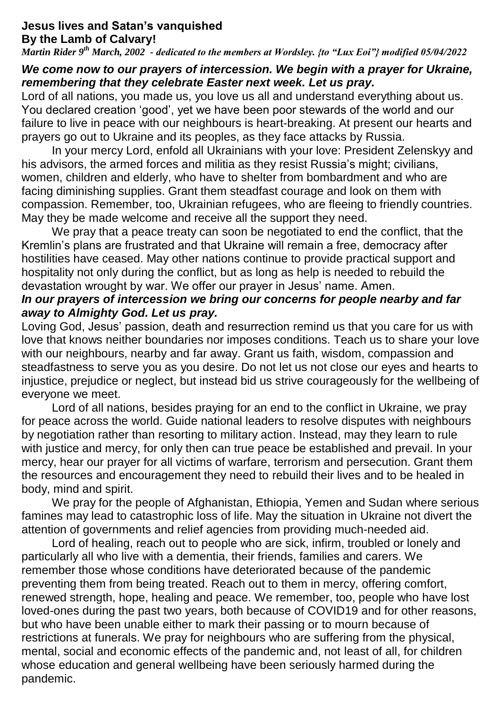#### **Jesus lives and Satan's vanquished By the Lamb of Calvary!**

*Martin Rider 9th March, 2002 - dedicated to the members at Wordsley. {to "Lux Eoi"} modified 05/04/2022*

### *We come now to our prayers of intercession. We begin with a prayer for Ukraine, remembering that they celebrate Easter next week. Let us pray.*

Lord of all nations, you made us, you love us all and understand everything about us. You declared creation 'good', yet we have been poor stewards of the world and our failure to live in peace with our neighbours is heart-breaking. At present our hearts and prayers go out to Ukraine and its peoples, as they face attacks by Russia.

In your mercy Lord, enfold all Ukrainians with your love: President Zelenskyy and his advisors, the armed forces and militia as they resist Russia's might; civilians, women, children and elderly, who have to shelter from bombardment and who are facing diminishing supplies. Grant them steadfast courage and look on them with compassion. Remember, too, Ukrainian refugees, who are fleeing to friendly countries. May they be made welcome and receive all the support they need.

We pray that a peace treaty can soon be negotiated to end the conflict, that the Kremlin's plans are frustrated and that Ukraine will remain a free, democracy after hostilities have ceased. May other nations continue to provide practical support and hospitality not only during the conflict, but as long as help is needed to rebuild the devastation wrought by war. We offer our prayer in Jesus' name. Amen.

## *In our prayers of intercession we bring our concerns for people nearby and far away to Almighty God. Let us pray.*

Loving God, Jesus' passion, death and resurrection remind us that you care for us with love that knows neither boundaries nor imposes conditions. Teach us to share your love with our neighbours, nearby and far away. Grant us faith, wisdom, compassion and steadfastness to serve you as you desire. Do not let us not close our eyes and hearts to injustice, prejudice or neglect, but instead bid us strive courageously for the wellbeing of everyone we meet.

Lord of all nations, besides praying for an end to the conflict in Ukraine, we pray for peace across the world. Guide national leaders to resolve disputes with neighbours by negotiation rather than resorting to military action. Instead, may they learn to rule with justice and mercy, for only then can true peace be established and prevail. In your mercy, hear our prayer for all victims of warfare, terrorism and persecution. Grant them the resources and encouragement they need to rebuild their lives and to be healed in body, mind and spirit.

We pray for the people of Afghanistan, Ethiopia, Yemen and Sudan where serious famines may lead to catastrophic loss of life. May the situation in Ukraine not divert the attention of governments and relief agencies from providing much-needed aid.

Lord of healing, reach out to people who are sick, infirm, troubled or lonely and particularly all who live with a dementia, their friends, families and carers. We remember those whose conditions have deteriorated because of the pandemic preventing them from being treated. Reach out to them in mercy, offering comfort, renewed strength, hope, healing and peace. We remember, too, people who have lost loved-ones during the past two years, both because of COVID19 and for other reasons, but who have been unable either to mark their passing or to mourn because of restrictions at funerals. We pray for neighbours who are suffering from the physical, mental, social and economic effects of the pandemic and, not least of all, for children whose education and general wellbeing have been seriously harmed during the pandemic.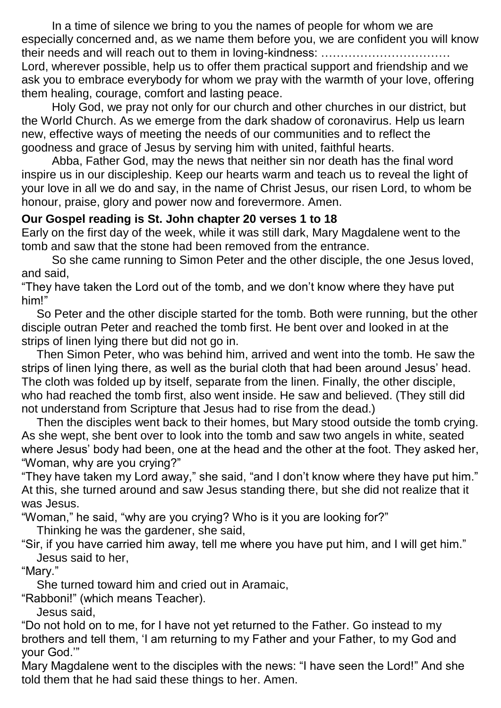In a time of silence we bring to you the names of people for whom we are especially concerned and, as we name them before you, we are confident you will know their needs and will reach out to them in loving-kindness: …………………………… Lord, wherever possible, help us to offer them practical support and friendship and we ask you to embrace everybody for whom we pray with the warmth of your love, offering them healing, courage, comfort and lasting peace.

Holy God, we pray not only for our church and other churches in our district, but the World Church. As we emerge from the dark shadow of coronavirus. Help us learn new, effective ways of meeting the needs of our communities and to reflect the goodness and grace of Jesus by serving him with united, faithful hearts.

Abba, Father God, may the news that neither sin nor death has the final word inspire us in our discipleship. Keep our hearts warm and teach us to reveal the light of your love in all we do and say, in the name of Christ Jesus, our risen Lord, to whom be honour, praise, glory and power now and forevermore. Amen.

## **Our Gospel reading is St. John chapter 20 verses 1 to 18**

Early on the first day of the week, while it was still dark, Mary Magdalene went to the tomb and saw that the stone had been removed from the entrance.

So she came running to Simon Peter and the other disciple, the one Jesus loved, and said,

"They have taken the Lord out of the tomb, and we don't know where they have put him!"

So Peter and the other disciple started for the tomb. Both were running, but the other disciple outran Peter and reached the tomb first. He bent over and looked in at the strips of linen lying there but did not go in.

Then Simon Peter, who was behind him, arrived and went into the tomb. He saw the strips of linen lying there, as well as the burial cloth that had been around Jesus' head. The cloth was folded up by itself, separate from the linen. Finally, the other disciple, who had reached the tomb first, also went inside. He saw and believed. (They still did not understand from Scripture that Jesus had to rise from the dead.)

Then the disciples went back to their homes, but Mary stood outside the tomb crying. As she wept, she bent over to look into the tomb and saw two angels in white, seated where Jesus' body had been, one at the head and the other at the foot. They asked her, "Woman, why are you crying?"

"They have taken my Lord away," she said, "and I don't know where they have put him." At this, she turned around and saw Jesus standing there, but she did not realize that it was Jesus.

"Woman," he said, "why are you crying? Who is it you are looking for?"

Thinking he was the gardener, she said,

"Sir, if you have carried him away, tell me where you have put him, and I will get him." Jesus said to her,

"Mary."

She turned toward him and cried out in Aramaic,

"Rabboni!" (which means Teacher).

Jesus said,

"Do not hold on to me, for I have not yet returned to the Father. Go instead to my brothers and tell them, 'I am returning to my Father and your Father, to my God and your God.'"

Mary Magdalene went to the disciples with the news: "I have seen the Lord!" And she told them that he had said these things to her. Amen.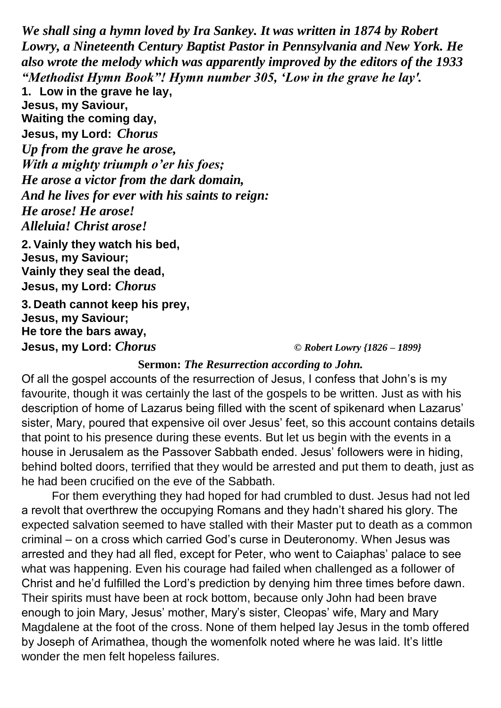*We shall sing a hymn loved by Ira Sankey. It was written in 1874 by Robert Lowry, a Nineteenth Century Baptist Pastor in Pennsylvania and New York. He also wrote the melody which was apparently improved by the editors of the 1933 "Methodist Hymn Book"! Hymn number 305, 'Low in the grave he lay'.*

**1. Low in the grave he lay, Jesus, my Saviour, Waiting the coming day, Jesus, my Lord:** *Chorus Up from the grave he arose, With a mighty triumph o'er his foes; He arose a victor from the dark domain, And he lives for ever with his saints to reign: He arose! He arose! Alleluia! Christ arose!* **2. Vainly they watch his bed,**

**Jesus, my Saviour; Vainly they seal the dead, Jesus, my Lord:** *Chorus*

**3. Death cannot keep his prey, Jesus, my Saviour; He tore the bars away, Jesus, my Lord:** *Chorus © Robert Lowry {1826 – 1899}*

#### **Sermon:** *The Resurrection according to John.*

Of all the gospel accounts of the resurrection of Jesus, I confess that John's is my favourite, though it was certainly the last of the gospels to be written. Just as with his description of home of Lazarus being filled with the scent of spikenard when Lazarus' sister, Mary, poured that expensive oil over Jesus' feet, so this account contains details that point to his presence during these events. But let us begin with the events in a house in Jerusalem as the Passover Sabbath ended. Jesus' followers were in hiding, behind bolted doors, terrified that they would be arrested and put them to death, just as he had been crucified on the eve of the Sabbath.

For them everything they had hoped for had crumbled to dust. Jesus had not led a revolt that overthrew the occupying Romans and they hadn't shared his glory. The expected salvation seemed to have stalled with their Master put to death as a common criminal – on a cross which carried God's curse in Deuteronomy. When Jesus was arrested and they had all fled, except for Peter, who went to Caiaphas' palace to see what was happening. Even his courage had failed when challenged as a follower of Christ and he'd fulfilled the Lord's prediction by denying him three times before dawn. Their spirits must have been at rock bottom, because only John had been brave enough to join Mary, Jesus' mother, Mary's sister, Cleopas' wife, Mary and Mary Magdalene at the foot of the cross. None of them helped lay Jesus in the tomb offered by Joseph of Arimathea, though the womenfolk noted where he was laid. It's little wonder the men felt hopeless failures.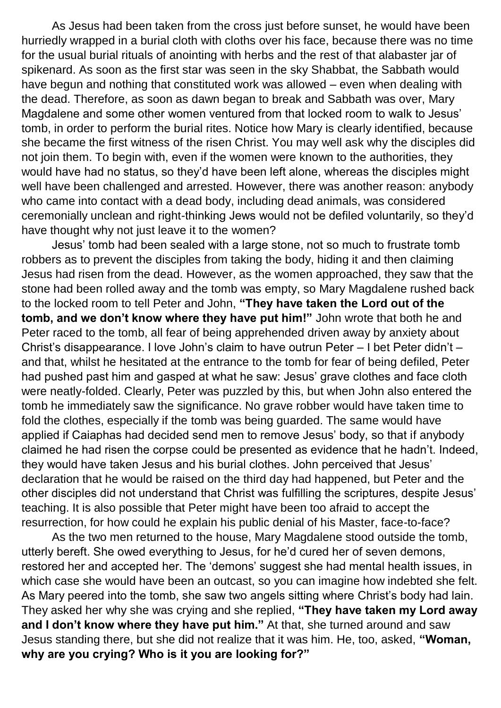As Jesus had been taken from the cross just before sunset, he would have been hurriedly wrapped in a burial cloth with cloths over his face, because there was no time for the usual burial rituals of anointing with herbs and the rest of that alabaster jar of spikenard. As soon as the first star was seen in the sky Shabbat, the Sabbath would have begun and nothing that constituted work was allowed – even when dealing with the dead. Therefore, as soon as dawn began to break and Sabbath was over, Mary Magdalene and some other women ventured from that locked room to walk to Jesus' tomb, in order to perform the burial rites. Notice how Mary is clearly identified, because she became the first witness of the risen Christ. You may well ask why the disciples did not join them. To begin with, even if the women were known to the authorities, they would have had no status, so they'd have been left alone, whereas the disciples might well have been challenged and arrested. However, there was another reason: anybody who came into contact with a dead body, including dead animals, was considered ceremonially unclean and right-thinking Jews would not be defiled voluntarily, so they'd have thought why not just leave it to the women?

Jesus' tomb had been sealed with a large stone, not so much to frustrate tomb robbers as to prevent the disciples from taking the body, hiding it and then claiming Jesus had risen from the dead. However, as the women approached, they saw that the stone had been rolled away and the tomb was empty, so Mary Magdalene rushed back to the locked room to tell Peter and John, **"They have taken the Lord out of the tomb, and we don't know where they have put him!"** John wrote that both he and Peter raced to the tomb, all fear of being apprehended driven away by anxiety about Christ's disappearance. I love John's claim to have outrun Peter – I bet Peter didn't – and that, whilst he hesitated at the entrance to the tomb for fear of being defiled, Peter had pushed past him and gasped at what he saw: Jesus' grave clothes and face cloth were neatly-folded. Clearly, Peter was puzzled by this, but when John also entered the tomb he immediately saw the significance. No grave robber would have taken time to fold the clothes, especially if the tomb was being guarded. The same would have applied if Caiaphas had decided send men to remove Jesus' body, so that if anybody claimed he had risen the corpse could be presented as evidence that he hadn't. Indeed, they would have taken Jesus and his burial clothes. John perceived that Jesus' declaration that he would be raised on the third day had happened, but Peter and the other disciples did not understand that Christ was fulfilling the scriptures, despite Jesus' teaching. It is also possible that Peter might have been too afraid to accept the resurrection, for how could he explain his public denial of his Master, face-to-face?

As the two men returned to the house, Mary Magdalene stood outside the tomb, utterly bereft. She owed everything to Jesus, for he'd cured her of seven demons, restored her and accepted her. The 'demons' suggest she had mental health issues, in which case she would have been an outcast, so you can imagine how indebted she felt. As Mary peered into the tomb, she saw two angels sitting where Christ's body had lain. They asked her why she was crying and she replied, **"They have taken my Lord away and I don't know where they have put him."** At that, she turned around and saw Jesus standing there, but she did not realize that it was him. He, too, asked, **"Woman, why are you crying? Who is it you are looking for?"**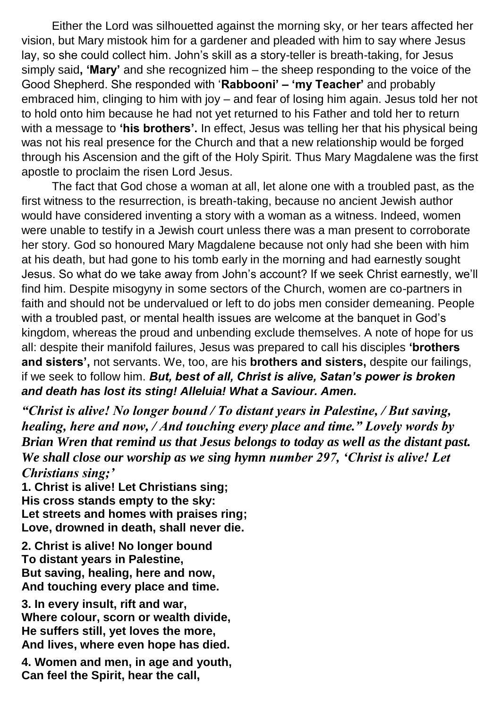Either the Lord was silhouetted against the morning sky, or her tears affected her vision, but Mary mistook him for a gardener and pleaded with him to say where Jesus lay, so she could collect him. John's skill as a story-teller is breath-taking, for Jesus simply said**, 'Mary'** and she recognized him – the sheep responding to the voice of the Good Shepherd. She responded with '**Rabbooni' – 'my Teacher'** and probably embraced him, clinging to him with joy – and fear of losing him again. Jesus told her not to hold onto him because he had not yet returned to his Father and told her to return with a message to **'his brothers'.** In effect, Jesus was telling her that his physical being was not his real presence for the Church and that a new relationship would be forged through his Ascension and the gift of the Holy Spirit. Thus Mary Magdalene was the first apostle to proclaim the risen Lord Jesus.

The fact that God chose a woman at all, let alone one with a troubled past, as the first witness to the resurrection, is breath-taking, because no ancient Jewish author would have considered inventing a story with a woman as a witness. Indeed, women were unable to testify in a Jewish court unless there was a man present to corroborate her story. God so honoured Mary Magdalene because not only had she been with him at his death, but had gone to his tomb early in the morning and had earnestly sought Jesus. So what do we take away from John's account? If we seek Christ earnestly, we'll find him. Despite misogyny in some sectors of the Church, women are co-partners in faith and should not be undervalued or left to do jobs men consider demeaning. People with a troubled past, or mental health issues are welcome at the banquet in God's kingdom, whereas the proud and unbending exclude themselves. A note of hope for us all: despite their manifold failures, Jesus was prepared to call his disciples **'brothers and sisters',** not servants. We, too, are his **brothers and sisters,** despite our failings, if we seek to follow him. *But, best of all, Christ is alive, Satan's power is broken and death has lost its sting! Alleluia! What a Saviour. Amen.*

*"Christ is alive! No longer bound / To distant years in Palestine, / But saving, healing, here and now, / And touching every place and time." Lovely words by Brian Wren that remind us that Jesus belongs to today as well as the distant past. We shall close our worship as we sing hymn number 297, 'Christ is alive! Let Christians sing;'*

**1. Christ is alive! Let Christians sing; His cross stands empty to the sky: Let streets and homes with praises ring; Love, drowned in death, shall never die.**

**2. Christ is alive! No longer bound To distant years in Palestine, But saving, healing, here and now, And touching every place and time.**

**3. In every insult, rift and war, Where colour, scorn or wealth divide, He suffers still, yet loves the more, And lives, where even hope has died.**

**4. Women and men, in age and youth, Can feel the Spirit, hear the call,**